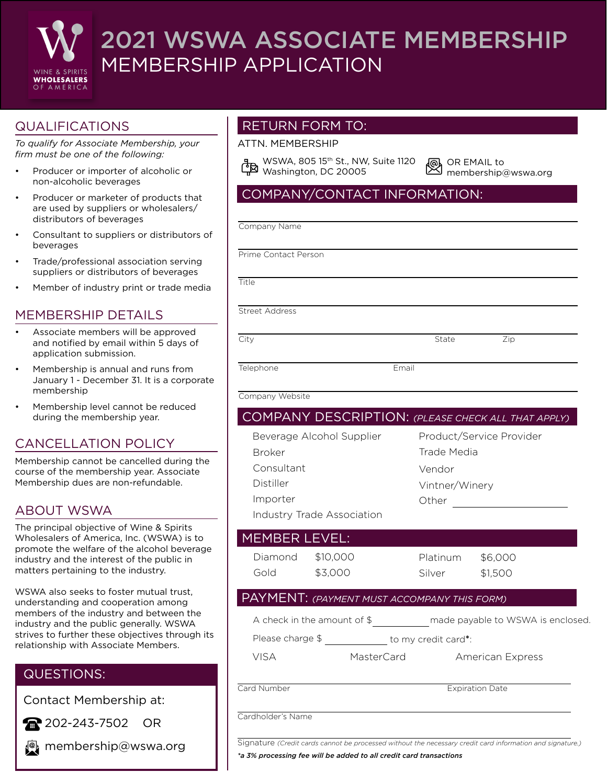

# 2021 WSWA ASSOCIATE MEMBERSHIP MEMBERSHIP APPLICATION

# QUALIFICATIONS

*To qualify for Associate Membership, your firm must be one of the following:*

- Producer or importer of alcoholic or non-alcoholic beverages
- Producer or marketer of products that are used by suppliers or wholesalers/ distributors of beverages
- Consultant to suppliers or distributors of beverages
- Trade/professional association serving suppliers or distributors of beverages
- Member of industry print or trade media

## MEMBERSHIP DETAILS

- Associate members will be approved and notified by email within 5 days of application submission.
- Membership is annual and runs from January 1 - December 31. It is a corporate membership
- Membership level cannot be reduced during the membership year.

## CANCELLATION POLICY

Membership cannot be cancelled during the course of the membership year. Associate Membership dues are non-refundable.

## ABOUT WSWA

The principal objective of Wine & Spirits Wholesalers of America, Inc. (WSWA) is to promote the welfare of the alcohol beverage industry and the interest of the public in matters pertaining to the industry.

WSWA also seeks to foster mutual trust, understanding and cooperation among members of the industry and between the industry and the public generally. WSWA strives to further these objectives through its relationship with Associate Members.

## QUESTIONS:

Contact Membership at:

202-243-7502 OR

**P** membership@wswa.org

## RETURN FORM TO:

#### ATTN. MEMBERSHIP

WSWA, 805 15<sup>th</sup> St., NW, Suite 1120  $\frac{1}{2}$  Washington, DC 20005

恩 OR EMAIL to membership@wswa.org

## COMPANY/CONTACT INFORMATION:

Company Name

Prime Contact Person

**Title** 

Street Address

City **State** Zip

Telephone Email

Company Website

# COMPANY DESCRIPTION: *(PLEASE CHECK ALL THAT APPLY)*

Broker **Consultant** Distiller Importer Beverage Alcohol Supplier Product/Service Provider Trade Media Vintner/Winery Other Vendor

Industry Trade Association

#### Diamond MEMBER LEVEL:

Gold

\$10,000 \$3,000

Platinum Silver \$6,000 \$1,500

#### PAYMENT: *(PAYMENT MUST ACCOMPANY THIS FORM)*

| A check in the amount of \$ | made payable to WSWA is enclosed. |  |
|-----------------------------|-----------------------------------|--|
|                             |                                   |  |

Please charge \$ to my credit card\*:

VISA MasterCard American Express

**Card Number Expiration Date** 

Cardholder's Name

Signature *(Credit cards cannot be processed without the necessary credit card information and signature.)*

*\*a 3% processing fee will be added to all credit card transactions*